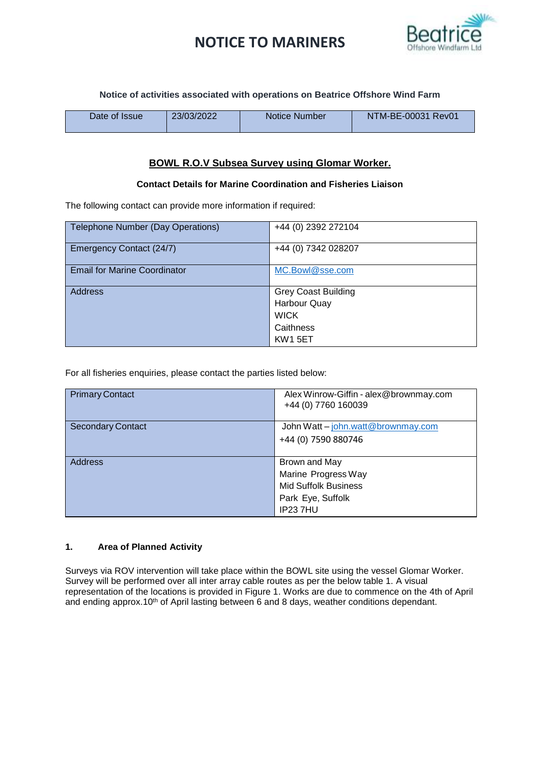# **NOTICE TO MARINERS**



**Notice of activities associated with operations on Beatrice Offshore Wind Farm**

| Date of Issue | 23/03/2022 | Notice Number | NTM-BE-00031 Rev01 |
|---------------|------------|---------------|--------------------|
|               |            |               |                    |

### **BOWL R.O.V Subsea Survey using Glomar Worker.**

### **Contact Details for Marine Coordination and Fisheries Liaison**

The following contact can provide more information if required:

| Telephone Number (Day Operations)   | +44 (0) 2392 272104        |
|-------------------------------------|----------------------------|
| Emergency Contact (24/7)            | +44 (0) 7342 028207        |
| <b>Email for Marine Coordinator</b> | MC.Bowl@sse.com            |
| <b>Address</b>                      | <b>Grey Coast Building</b> |
|                                     | <b>Harbour Quay</b>        |
|                                     | <b>WICK</b>                |
|                                     | Caithness                  |
|                                     | <b>KW1 5ET</b>             |

For all fisheries enquiries, please contact the parties listed below:

| <b>Primary Contact</b>   | Alex Winrow-Giffin - alex@brownmay.com<br>+44 (0) 7760 160039 |
|--------------------------|---------------------------------------------------------------|
| <b>Secondary Contact</b> | John Watt - john.watt@brownmay.com                            |
|                          | +44 (0) 7590 880746                                           |
|                          |                                                               |
| <b>Address</b>           | Brown and May                                                 |
|                          | Marine Progress Way                                           |
|                          | <b>Mid Suffolk Business</b>                                   |
|                          | Park Eye, Suffolk                                             |
|                          | IP237HU                                                       |

#### **1. Area of Planned Activity**

Surveys via ROV intervention will take place within the BOWL site using the vessel Glomar Worker. Survey will be performed over all inter array cable routes as per the below table 1. A visual representation of the locations is provided in Figure 1. Works are due to commence on the 4th of April and ending approx.10<sup>th</sup> of April lasting between 6 and 8 days, weather conditions dependant.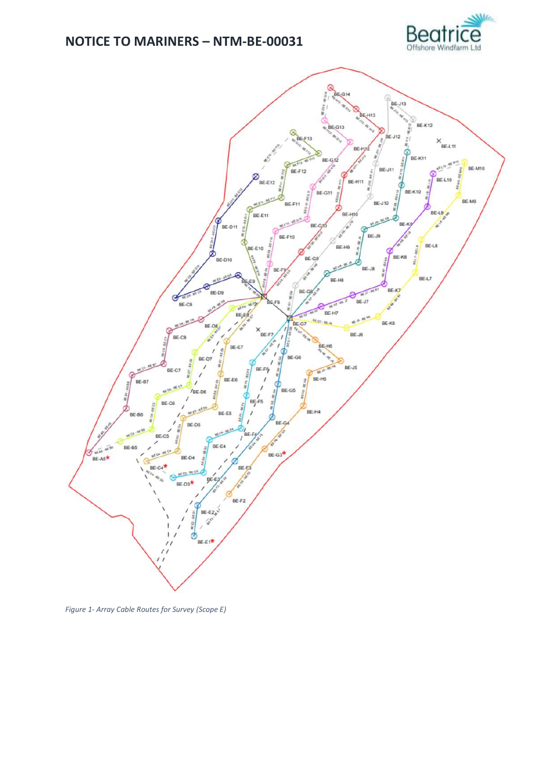



*Figure 1- Array Cable Routes for Survey (Scope E)*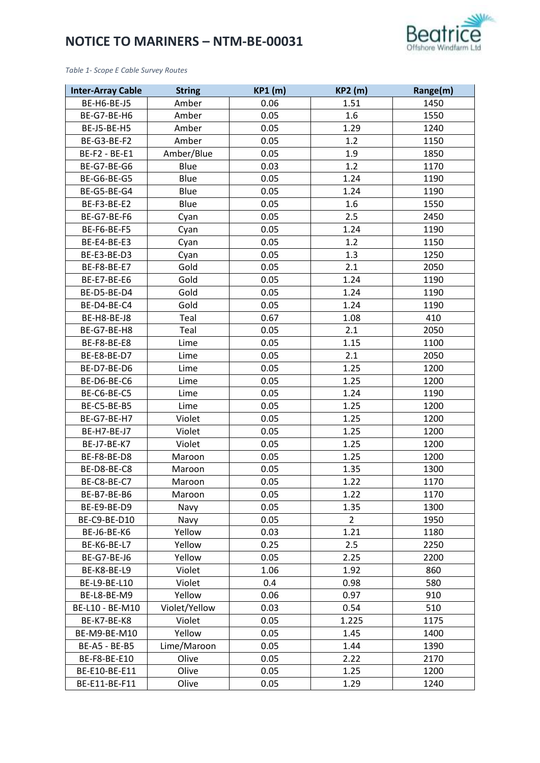

*Table 1- Scope E Cable Survey Routes*

| <b>Inter-Array Cable</b> | <b>String</b> | <b>KP1 (m)</b> | <b>KP2 (m)</b> | Range(m) |
|--------------------------|---------------|----------------|----------------|----------|
| BE-H6-BE-J5              | Amber         | 0.06           | 1.51           | 1450     |
| BE-G7-BE-H6              | Amber         | 0.05           | 1.6            | 1550     |
| BE-J5-BE-H5              | Amber         | 0.05           | 1.29           | 1240     |
| BE-G3-BE-F2              | Amber         | 0.05           | 1.2            | 1150     |
| BE-F2 - BE-E1            | Amber/Blue    | 0.05           | 1.9            | 1850     |
| BE-G7-BE-G6              | Blue          | 0.03           | 1.2            | 1170     |
| BE-G6-BE-G5              | Blue          | 0.05           | 1.24           | 1190     |
| BE-G5-BE-G4              | Blue          | 0.05           | 1.24           | 1190     |
| BE-F3-BE-E2              | Blue          | 0.05           | 1.6            | 1550     |
| BE-G7-BE-F6              | Cyan          | 0.05           | 2.5            | 2450     |
| BE-F6-BE-F5              | Cyan          | 0.05           | 1.24           | 1190     |
| BE-E4-BE-E3              | Cyan          | 0.05           | 1.2            | 1150     |
| BE-E3-BE-D3              | Cyan          | 0.05           | 1.3            | 1250     |
| BE-F8-BE-E7              | Gold          | 0.05           | 2.1            | 2050     |
| BE-E7-BE-E6              | Gold          | 0.05           | 1.24           | 1190     |
| BE-D5-BE-D4              | Gold          | 0.05           | 1.24           | 1190     |
| BE-D4-BE-C4              | Gold          | 0.05           | 1.24           | 1190     |
| BE-H8-BE-J8              | Teal          | 0.67           | 1.08           | 410      |
| BE-G7-BE-H8              | Teal          | 0.05           | 2.1            | 2050     |
| BE-F8-BE-E8              | Lime          | 0.05           | 1.15           | 1100     |
| BE-E8-BE-D7              | Lime          | 0.05           | 2.1            | 2050     |
| BE-D7-BE-D6              | Lime          | 0.05           | 1.25           | 1200     |
| BE-D6-BE-C6              | Lime          | 0.05           | 1.25           | 1200     |
| BE-C6-BE-C5              | Lime          | 0.05           | 1.24           | 1190     |
| BE-C5-BE-B5              | Lime          | 0.05           | 1.25           | 1200     |
| BE-G7-BE-H7              | Violet        | 0.05           | 1.25           | 1200     |
| BE-H7-BE-J7              | Violet        | 0.05           | 1.25           | 1200     |
| BE-J7-BE-K7              | Violet        | 0.05           | 1.25           | 1200     |
| BE-F8-BE-D8              | Maroon        | 0.05           | 1.25           | 1200     |
| BE-D8-BE-C8              | Maroon        | 0.05           | 1.35           | 1300     |
| BE-C8-BE-C7              | Maroon        | 0.05           | 1.22           | 1170     |
| BE-B7-BE-B6              | Maroon        | 0.05           | 1.22           | 1170     |
| BE-E9-BE-D9              | Navy          | 0.05           | 1.35           | 1300     |
| BE-C9-BE-D10             | Navy          | 0.05           | $\overline{2}$ | 1950     |
| BE-J6-BE-K6              | Yellow        | 0.03           | 1.21           | 1180     |
| BE-K6-BE-L7              | Yellow        | 0.25           | 2.5            | 2250     |
| BE-G7-BE-J6              | Yellow        | 0.05           | 2.25           | 2200     |
| BE-K8-BE-L9              | Violet        | 1.06           | 1.92           | 860      |
| BE-L9-BE-L10             | Violet        | 0.4            | 0.98           | 580      |
| BE-L8-BE-M9              | Yellow        | 0.06           | 0.97           | 910      |
| BE-L10 - BE-M10          | Violet/Yellow | 0.03           | 0.54           | 510      |
| BE-K7-BE-K8              | Violet        | 0.05           | 1.225          | 1175     |
| BE-M9-BE-M10             | Yellow        | 0.05           | 1.45           | 1400     |
| BE-A5 - BE-B5            | Lime/Maroon   | 0.05           | 1.44           | 1390     |
| BE-F8-BE-E10             | Olive         | 0.05           | 2.22           | 2170     |
| BE-E10-BE-E11            | Olive         | 0.05           | 1.25           | 1200     |
| BE-E11-BE-F11            | Olive         | 0.05           | 1.29           | 1240     |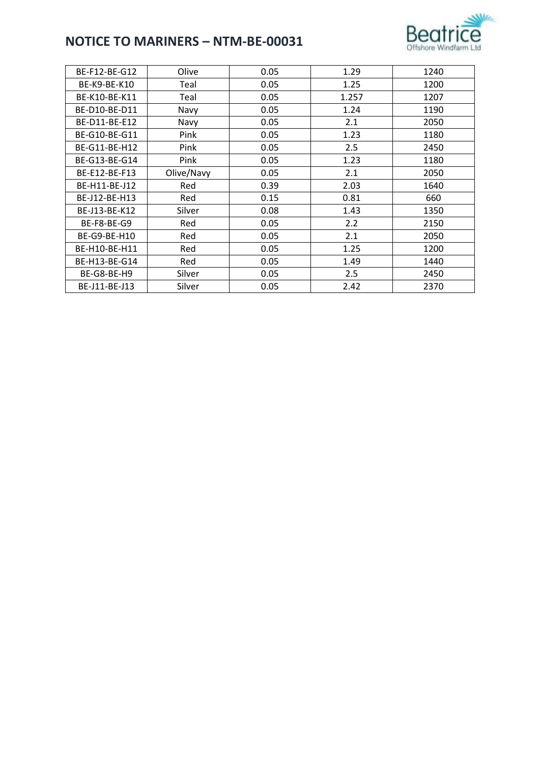

| BE-F12-BE-G12 | Olive      | 0.05 | 1.29  | 1240 |
|---------------|------------|------|-------|------|
| BE-K9-BE-K10  | Teal       | 0.05 | 1.25  | 1200 |
| BE-K10-BE-K11 | Teal       | 0.05 | 1.257 | 1207 |
| BE-D10-BE-D11 | Navy       | 0.05 | 1.24  | 1190 |
| BE-D11-BE-E12 | Navy       | 0.05 | 2.1   | 2050 |
| BE-G10-BE-G11 | Pink       | 0.05 | 1.23  | 1180 |
| BE-G11-BE-H12 | Pink       | 0.05 | 2.5   | 2450 |
| BE-G13-BE-G14 | Pink       | 0.05 | 1.23  | 1180 |
| BE-E12-BE-F13 | Olive/Navy | 0.05 | 2.1   | 2050 |
| BE-H11-BE-J12 | Red        | 0.39 | 2.03  | 1640 |
| BE-J12-BE-H13 | Red        | 0.15 | 0.81  | 660  |
| BE-J13-BE-K12 | Silver     | 0.08 | 1.43  | 1350 |
| BE-F8-BE-G9   | Red        | 0.05 | 2.2   | 2150 |
| BE-G9-BE-H10  | Red        | 0.05 | 2.1   | 2050 |
| BE-H10-BE-H11 | Red        | 0.05 | 1.25  | 1200 |
| BE-H13-BE-G14 | Red        | 0.05 | 1.49  | 1440 |
| BE-G8-BE-H9   | Silver     | 0.05 | 2.5   | 2450 |
| BE-J11-BE-J13 | Silver     | 0.05 | 2.42  | 2370 |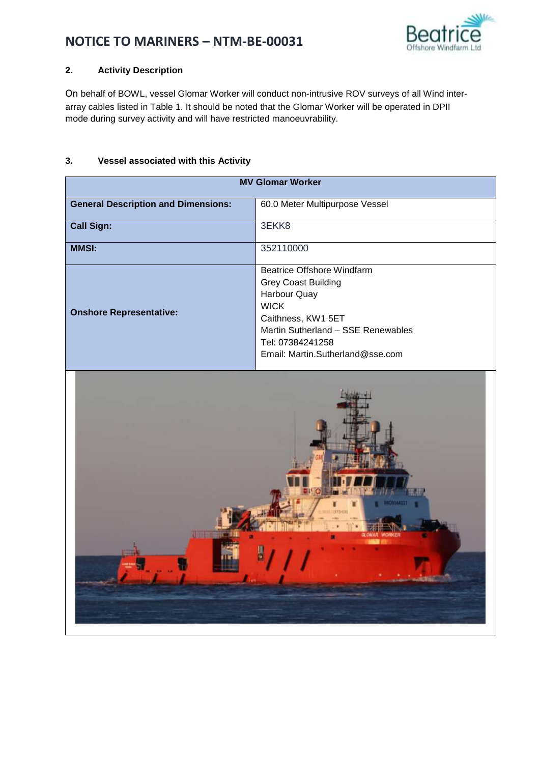

## **2. Activity Description**

On behalf of BOWL, vessel Glomar Worker will conduct non-intrusive ROV surveys of all Wind interarray cables listed in Table 1. It should be noted that the Glomar Worker will be operated in DPII mode during survey activity and will have restricted manoeuvrability.

### **3. Vessel associated with this Activity**

| <b>MV Glomar Worker</b>                    |                                                                                                                                                                                                                    |  |
|--------------------------------------------|--------------------------------------------------------------------------------------------------------------------------------------------------------------------------------------------------------------------|--|
| <b>General Description and Dimensions:</b> | 60.0 Meter Multipurpose Vessel                                                                                                                                                                                     |  |
| <b>Call Sign:</b>                          | 3EKK8                                                                                                                                                                                                              |  |
| <b>MMSI:</b>                               | 352110000                                                                                                                                                                                                          |  |
| <b>Onshore Representative:</b>             | <b>Beatrice Offshore Windfarm</b><br><b>Grey Coast Building</b><br>Harbour Quay<br><b>WICK</b><br>Caithness, KW1 5ET<br>Martin Sutherland - SSE Renewables<br>Tel: 07384241258<br>Email: Martin.Sutherland@sse.com |  |
|                                            |                                                                                                                                                                                                                    |  |